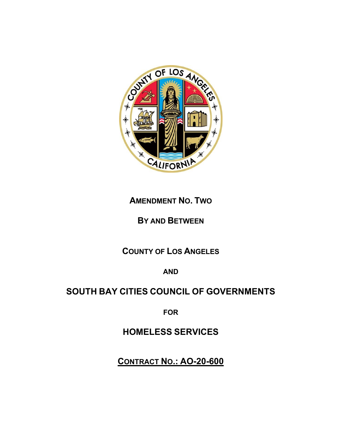

# **AMENDMENT NO. TWO**

# **BY AND BETWEEN**

# **COUNTY OF LOS ANGELES**

**AND**

# **SOUTH BAY CITIES COUNCIL OF GOVERNMENTS**

**FOR** 

**HOMELESS SERVICES**

**CONTRACT NO.: AO-20-600**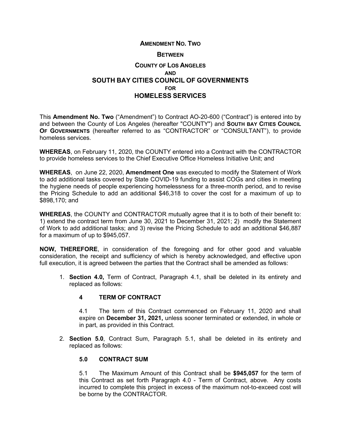#### **AMENDMENT NO. TWO**

#### **BETWEEN**

## **COUNTY OF LOS ANGELES AND SOUTH BAY CITIES COUNCIL OF GOVERNMENTS FOR HOMELESS SERVICES**

This **Amendment No. Two** ("Amendment") to Contract AO-20-600 ("Contract") is entered into by and between the County of Los Angeles (hereafter "COUNTY") and **SOUTH BAY CITIES COUNCIL OF GOVERNMENTS** (hereafter referred to as "CONTRACTOR" or "CONSULTANT"), to provide homeless services.

**WHEREAS**, on February 11, 2020, the COUNTY entered into a Contract with the CONTRACTOR to provide homeless services to the Chief Executive Office Homeless Initiative Unit; and

**WHEREAS**, on June 22, 2020, **Amendment One** was executed to modify the Statement of Work to add additional tasks covered by State COVID-19 funding to assist COGs and cities in meeting the hygiene needs of people experiencing homelessness for a three-month period, and to revise the Pricing Schedule to add an additional \$46,318 to cover the cost for a maximum of up to \$898,170; and

**WHEREAS**, the COUNTY and CONTRACTOR mutually agree that it is to both of their benefit to: 1) extend the contract term from June 30, 2021 to December 31, 2021; 2) modify the Statement of Work to add additional tasks; and 3) revise the Pricing Schedule to add an additional \$46,887 for a maximum of up to \$945,057.

**NOW, THEREFORE**, in consideration of the foregoing and for other good and valuable consideration, the receipt and sufficiency of which is hereby acknowledged, and effective upon full execution, it is agreed between the parties that the Contract shall be amended as follows:

1. **Section 4.0,** Term of Contract, Paragraph 4.1, shall be deleted in its entirety and replaced as follows:

### **4 TERM OF CONTRACT**

4.1 The term of this Contract commenced on February 11, 2020 and shall expire on **December 31, 2021,** unless sooner terminated or extended, in whole or in part, as provided in this Contract.

2. **Section 5.0**, Contract Sum, Paragraph 5.1, shall be deleted in its entirety and replaced as follows:

#### **5.0 CONTRACT SUM**

5.1 The Maximum Amount of this Contract shall be **\$945,057** for the term of this Contract as set forth Paragraph 4.0 - Term of Contract, above. Any costs incurred to complete this project in excess of the maximum not-to-exceed cost will be borne by the CONTRACTOR.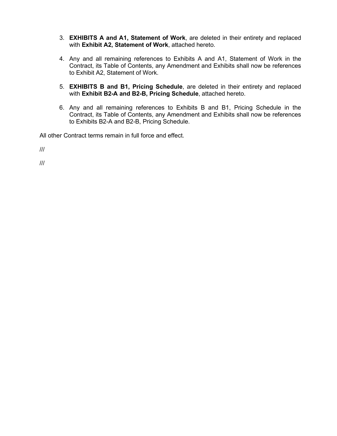- 3. **EXHIBITS A and A1, Statement of Work**, are deleted in their entirety and replaced with **Exhibit A2, Statement of Work**, attached hereto.
- 4. Any and all remaining references to Exhibits A and A1, Statement of Work in the Contract, its Table of Contents, any Amendment and Exhibits shall now be references to Exhibit A2, Statement of Work.
- 5. **EXHIBITS B and B1, Pricing Schedule**, are deleted in their entirety and replaced with **Exhibit B2-A and B2-B, Pricing Schedule**, attached hereto.
- 6. Any and all remaining references to Exhibits B and B1, Pricing Schedule in the Contract, its Table of Contents, any Amendment and Exhibits shall now be references to Exhibits B2-A and B2-B, Pricing Schedule.

All other Contract terms remain in full force and effect.

///

///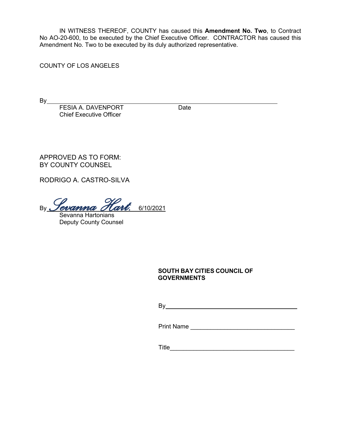IN WITNESS THEREOF, COUNTY has caused this **Amendment No. Two**, to Contract No AO-20-600, to be executed by the Chief Executive Officer. CONTRACTOR has caused this Amendment No. Two to be executed by its duly authorized representative.

COUNTY OF LOS ANGELES

 $By$ 

FESIA A. DAVENPORT Date Chief Executive Officer

APPROVED AS TO FORM: BY COUNTY COUNSEL

RODRIGO A. CASTRO-SILVA

By *Sevanna Hart.* 6/10/2021

Sevanna Hartonians Deputy County Counsel

> **SOUTH BAY CITIES COUNCIL OF GOVERNMENTS**

By **Example 20** Section 20 Section 20 Section 20 Section 20 Section 20 Section 20 Section 20 Section 20 Section 20 Section 20 Section 20 Section 20 Section 20 Section 20 Section 20 Section 20 Section 20 Section 20 Section

Print Name \_\_\_\_\_\_\_\_\_\_\_\_\_\_\_\_\_\_\_\_\_\_\_\_\_\_\_\_\_\_\_

Title\_\_\_\_\_\_\_\_\_\_\_\_\_\_\_\_\_\_\_\_\_\_\_\_\_\_\_\_\_\_\_\_\_\_\_\_\_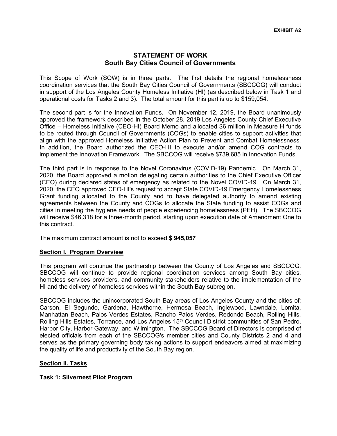### **STATEMENT OF WORK South Bay Cities Council of Governments**

This Scope of Work (SOW) is in three parts. The first details the regional homelessness coordination services that the South Bay Cities Council of Governments (SBCCOG) will conduct in support of the Los Angeles County Homeless Initiative (HI) (as described below in Task 1 and operational costs for Tasks 2 and 3). The total amount for this part is up to \$159,054.

The second part is for the Innovation Funds. On November 12, 2019, the Board unanimously approved the framework described in the October 28, 2019 Los Angeles County Chief Executive Office – Homeless Initiative (CEO-HI) Board Memo and allocated \$6 million in Measure H funds to be routed through Council of Governments (COGs) to enable cities to support activities that align with the approved Homeless Initiative Action Plan to Prevent and Combat Homelessness. In addition, the Board authorized the CEO-HI to execute and/or amend COG contracts to implement the Innovation Framework. The SBCCOG will receive \$739,685 in Innovation Funds.

The third part is in response to the Novel Coronavirus (COVID-19) Pandemic. On March 31, 2020, the Board approved a motion delegating certain authorities to the Chief Executive Officer (CEO) during declared states of emergency as related to the Novel COVID-19. On March 31, 2020, the CEO approved CEO-HI's request to accept State COVID-19 Emergency Homelessness Grant funding allocated to the County and to have delegated authority to amend existing agreements between the County and COGs to allocate the State funding to assist COGs and cities in meeting the hygiene needs of people experiencing homelessness (PEH). The SBCCOG will receive \$46,318 for a three-month period, starting upon execution date of Amendment One to this contract.

#### The maximum contract amount is not to exceed **\$ 945,057**

#### **Section I. Program Overview**

This program will continue the partnership between the County of Los Angeles and SBCCOG. SBCCOG will continue to provide regional coordination services among South Bay cities, homeless services providers, and community stakeholders relative to the implementation of the HI and the delivery of homeless services within the South Bay subregion.

SBCCOG includes the unincorporated South Bay areas of Los Angeles County and the cities of: Carson, El Segundo, Gardena, Hawthorne, Hermosa Beach, Inglewood, Lawndale, Lomita, Manhattan Beach, Palos Verdes Estates, Rancho Palos Verdes, Redondo Beach, Rolling Hills, Rolling Hills Estates, Torrance, and Los Angeles  $15<sup>th</sup>$  Council District communities of San Pedro, Harbor City, Harbor Gateway, and Wilmington. The SBCCOG Board of Directors is comprised of elected officials from each of the SBCCOG's member cities and County Districts 2 and 4 and serves as the primary governing body taking actions to support endeavors aimed at maximizing the quality of life and productivity of the South Bay region.

#### **Section II. Tasks**

#### **Task 1: Silvernest Pilot Program**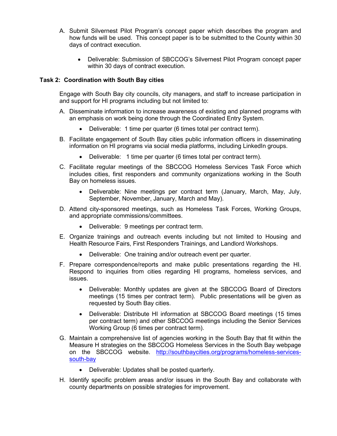- A. Submit Silvernest Pilot Program's concept paper which describes the program and how funds will be used. This concept paper is to be submitted to the County within 30 days of contract execution.
	- Deliverable: Submission of SBCCOG's Silvernest Pilot Program concept paper within 30 days of contract execution.

### **Task 2: Coordination with South Bay cities**

Engage with South Bay city councils, city managers, and staff to increase participation in and support for HI programs including but not limited to:

- A. Disseminate information to increase awareness of existing and planned programs with an emphasis on work being done through the Coordinated Entry System.
	- Deliverable: 1 time per quarter (6 times total per contract term).
- B. Facilitate engagement of South Bay cities public information officers in disseminating information on HI programs via social media platforms, including LinkedIn groups.
	- Deliverable: 1 time per quarter (6 times total per contract term).
- C. Facilitate regular meetings of the SBCCOG Homeless Services Task Force which includes cities, first responders and community organizations working in the South Bay on homeless issues.
	- Deliverable: Nine meetings per contract term (January, March, May, July, September, November, January, March and May).
- D. Attend city-sponsored meetings, such as Homeless Task Forces, Working Groups, and appropriate commissions/committees.
	- Deliverable: 9 meetings per contract term.
- E. Organize trainings and outreach events including but not limited to Housing and Health Resource Fairs, First Responders Trainings, and Landlord Workshops.
	- Deliverable: One training and/or outreach event per quarter.
- F. Prepare correspondence/reports and make public presentations regarding the HI. Respond to inquiries from cities regarding HI programs, homeless services, and issues.
	- Deliverable: Monthly updates are given at the SBCCOG Board of Directors meetings (15 times per contract term). Public presentations will be given as requested by South Bay cities.
	- Deliverable: Distribute HI information at SBCCOG Board meetings (15 times per contract term) and other SBCCOG meetings including the Senior Services Working Group (6 times per contract term).
- G. Maintain a comprehensive list of agencies working in the South Bay that fit within the Measure H strategies on the SBCCOG Homeless Services in the South Bay webpage on the SBCCOG website. [http://southbaycities.org/programs/homeless-services](http://southbaycities.org/programs/homeless-services-south-bay)[south-bay](http://southbaycities.org/programs/homeless-services-south-bay)
	- Deliverable: Updates shall be posted quarterly.
- H. Identify specific problem areas and/or issues in the South Bay and collaborate with county departments on possible strategies for improvement.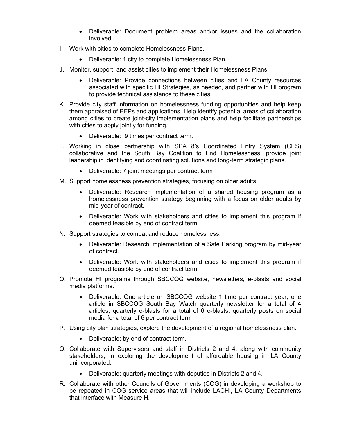- Deliverable: Document problem areas and/or issues and the collaboration involved.
- I. Work with cities to complete Homelessness Plans.
	- Deliverable: 1 city to complete Homelessness Plan.
- J. Monitor, support, and assist cities to implement their Homelessness Plans.
	- Deliverable: Provide connections between cities and LA County resources associated with specific HI Strategies, as needed, and partner with HI program to provide technical assistance to these cities.
- K. Provide city staff information on homelessness funding opportunities and help keep them appraised of RFPs and applications. Help identify potential areas of collaboration among cities to create joint-city implementation plans and help facilitate partnerships with cities to apply jointly for funding.
	- Deliverable: 9 times per contract term.
- L. Working in close partnership with SPA 8's Coordinated Entry System (CES) collaborative and the South Bay Coalition to End Homelessness, provide joint leadership in identifying and coordinating solutions and long-term strategic plans.
	- Deliverable: 7 joint meetings per contract term
- M. Support homelessness prevention strategies, focusing on older adults.
	- Deliverable: Research implementation of a shared housing program as a homelessness prevention strategy beginning with a focus on older adults by mid-year of contract.
	- Deliverable: Work with stakeholders and cities to implement this program if deemed feasible by end of contract term.
- N. Support strategies to combat and reduce homelessness.
	- Deliverable: Research implementation of a Safe Parking program by mid-year of contract.
	- Deliverable: Work with stakeholders and cities to implement this program if deemed feasible by end of contract term.
- O. Promote HI programs through SBCCOG website, newsletters, e-blasts and social media platforms.
	- Deliverable: One article on SBCCOG website 1 time per contract year; one article in SBCCOG South Bay Watch quarterly newsletter for a total of 4 articles; quarterly e-blasts for a total of 6 e-blasts; quarterly posts on social media for a total of 6 per contract term
- P. Using city plan strategies, explore the development of a regional homelessness plan.
	- Deliverable: by end of contract term.
- Q. Collaborate with Supervisors and staff in Districts 2 and 4, along with community stakeholders, in exploring the development of affordable housing in LA County unincorporated.
	- Deliverable: quarterly meetings with deputies in Districts 2 and 4.
- R. Collaborate with other Councils of Governments (COG) in developing a workshop to be repeated in COG service areas that will include LACHI, LA County Departments that interface with Measure H.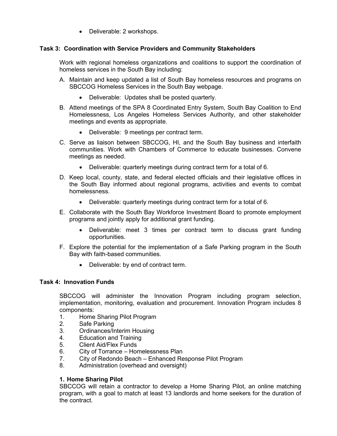• Deliverable: 2 workshops.

### **Task 3: Coordination with Service Providers and Community Stakeholders**

Work with regional homeless organizations and coalitions to support the coordination of homeless services in the South Bay including:

- A. Maintain and keep updated a list of South Bay homeless resources and programs on SBCCOG Homeless Services in the South Bay webpage.
	- Deliverable: Updates shall be posted quarterly.
- B. Attend meetings of the SPA 8 Coordinated Entry System, South Bay Coalition to End Homelessness, Los Angeles Homeless Services Authority, and other stakeholder meetings and events as appropriate.
	- Deliverable: 9 meetings per contract term.
- C. Serve as liaison between SBCCOG, HI, and the South Bay business and interfaith communities. Work with Chambers of Commerce to educate businesses. Convene meetings as needed.
	- Deliverable: quarterly meetings during contract term for a total of 6.
- D. Keep local, county, state, and federal elected officials and their legislative offices in the South Bay informed about regional programs, activities and events to combat homelessness.
	- Deliverable: quarterly meetings during contract term for a total of 6.
- E. Collaborate with the South Bay Workforce Investment Board to promote employment programs and jointly apply for additional grant funding.
	- Deliverable: meet 3 times per contract term to discuss grant funding opportunities.
- F. Explore the potential for the implementation of a Safe Parking program in the South Bay with faith-based communities.
	- Deliverable: by end of contract term.

### **Task 4: Innovation Funds**

SBCCOG will administer the Innovation Program including program selection, implementation, monitoring, evaluation and procurement. Innovation Program includes 8 components:

- 1. Home Sharing Pilot Program
- 2. Safe Parking
- 3. Ordinances/Interim Housing
- 4. Education and Training
- 5. Client Aid/Flex Funds
- 6. City of Torrance Homelessness Plan
- 7. City of Redondo Beach Enhanced Response Pilot Program
- 8. Administration (overhead and oversight)

### **1. Home Sharing Pilot**

SBCCOG will retain a contractor to develop a Home Sharing Pilot, an online matching program, with a goal to match at least 13 landlords and home seekers for the duration of the contract.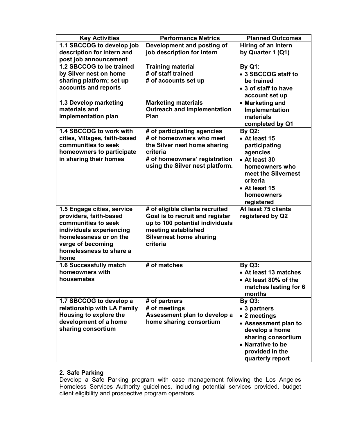| <b>Key Activities</b>         | <b>Performance Metrics</b>         | <b>Planned Outcomes</b> |
|-------------------------------|------------------------------------|-------------------------|
| 1.1 SBCCOG to develop job     | Development and posting of         | Hiring of an Intern     |
| description for intern and    | job description for intern         | by Quarter 1 (Q1)       |
| post job announcement         |                                    |                         |
| 1.2 SBCCOG to be trained      | <b>Training material</b>           | <b>By Q1:</b>           |
| by Silver nest on home        | # of staff trained                 | • 3 SBCCOG staff to     |
| sharing platform; set up      | # of accounts set up               | be trained              |
| accounts and reports          |                                    | • 3 of staff to have    |
|                               |                                    | account set up          |
| 1.3 Develop marketing         | <b>Marketing materials</b>         | • Marketing and         |
| materials and                 | <b>Outreach and Implementation</b> | Implementation          |
| implementation plan           | <b>Plan</b>                        | materials               |
|                               |                                    | completed by Q1         |
| 1.4 SBCCOG to work with       | # of participating agencies        | <b>By Q2:</b>           |
| cities, Villages, faith-based | # of homeowners who meet           | • At least 15           |
| communities to seek           | the Silver nest home sharing       | participating           |
| homeowners to participate     | criteria                           | agencies                |
| in sharing their homes        | # of homeowners' registration      | • At least 30           |
|                               | using the Silver nest platform.    | homeowners who          |
|                               |                                    | meet the Silvernest     |
|                               |                                    | criteria                |
|                               |                                    | • At least 15           |
|                               |                                    | homeowners              |
|                               |                                    | registered              |
| 1.5 Engage cities, service    | # of eligible clients recruited    | At least 75 clients     |
| providers, faith-based        | Goal is to recruit and register    | registered by Q2        |
| communities to seek           | up to 100 potential individuals    |                         |
| individuals experiencing      | meeting established                |                         |
| homelessness or on the        | <b>Silvernest home sharing</b>     |                         |
| verge of becoming             | criteria                           |                         |
| homelessness to share a       |                                    |                         |
| home                          |                                    |                         |
| 1.6 Successfully match        | # of matches                       | <b>By Q3:</b>           |
| homeowners with               |                                    | • At least 13 matches   |
| housemates                    |                                    | • At least 80% of the   |
|                               |                                    | matches lasting for 6   |
|                               |                                    | months                  |
| 1.7 SBCCOG to develop a       | # of partners                      | <b>By Q3:</b>           |
| relationship with LA Family   | # of meetings                      | • 3 partners            |
| Housing to explore the        | Assessment plan to develop a       | • 2 meetings            |
| development of a home         | home sharing consortium            | • Assessment plan to    |
| sharing consortium            |                                    | develop a home          |
|                               |                                    | sharing consortium      |
|                               |                                    | • Narrative to be       |
|                               |                                    | provided in the         |
|                               |                                    | quarterly report        |

#### **2. Safe Parking**

Develop a Safe Parking program with case management following the Los Angeles Homeless Services Authority guidelines, including potential services provided, budget client eligibility and prospective program operators.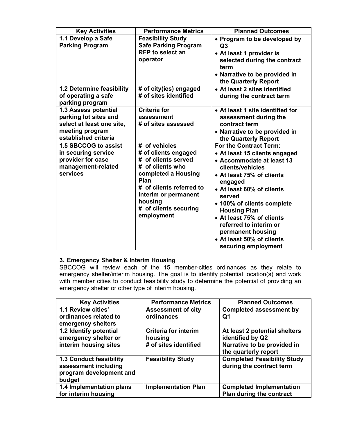| <b>Key Activities</b>                                                                                                                         | <b>Performance Metrics</b>                                                                                                                                                                           | <b>Planned Outcomes</b>                                                                                                                                                                                                                                                                                                                            |
|-----------------------------------------------------------------------------------------------------------------------------------------------|------------------------------------------------------------------------------------------------------------------------------------------------------------------------------------------------------|----------------------------------------------------------------------------------------------------------------------------------------------------------------------------------------------------------------------------------------------------------------------------------------------------------------------------------------------------|
| 1.1 Develop a Safe<br><b>Parking Program</b>                                                                                                  | <b>Feasibility Study</b><br><b>Safe Parking Program</b><br><b>RFP</b> to select an<br>operator                                                                                                       | • Program to be developed by<br>Q3<br>• At least 1 provider is<br>selected during the contract<br>term<br>• Narrative to be provided in<br>the Quarterly Report                                                                                                                                                                                    |
| 1.2 Determine feasibility<br>of operating a safe<br>parking program                                                                           | # of city(ies) engaged<br># of sites identified                                                                                                                                                      | • At least 2 sites identified<br>during the contract term                                                                                                                                                                                                                                                                                          |
| 1.3 Assess potential<br>parking lot sites and<br>select at least one site,<br>meeting program<br>established criteria<br>1.5 SBCCOG to assist | <b>Criteria for</b><br>assessment<br># of sites assessed<br># of vehicles                                                                                                                            | • At least 1 site identified for<br>assessment during the<br>contract term<br>• Narrative to be provided in<br>the Quarterly Report<br>For the Contract Term:                                                                                                                                                                                      |
| in securing service<br>provider for case<br>management-related<br>services                                                                    | # of clients engaged<br># of clients served<br># of clients who<br>completed a Housing<br>Plan<br># of clients referred to<br>interim or permanent<br>housing<br># of clients securing<br>employment | • At least 15 clients engaged<br>• Accommodate at least 13<br>clients/vehicles<br>• At least 75% of clients<br>engaged<br>• At least 60% of clients<br>served<br>• 100% of clients complete<br><b>Housing Plan</b><br>• At least 75% of clients<br>referred to interim or<br>permanent housing<br>• At least 50% of clients<br>securing employment |

## **3. Emergency Shelter & Interim Housing**

SBCCOG will review each of the 15 member-cities ordinances as they relate to emergency shelter/interim housing. The goal is to identify potential location(s) and work with member cities to conduct feasibility study to determine the potential of providing an emergency shelter or other type of interim housing.

| <b>Key Activities</b>                                                                       | <b>Performance Metrics</b>              | <b>Planned Outcomes</b>                                        |
|---------------------------------------------------------------------------------------------|-----------------------------------------|----------------------------------------------------------------|
| 1.1 Review cities'<br>ordinances related to                                                 | <b>Assessment of city</b><br>ordinances | <b>Completed assessment by</b><br>Q1                           |
| emergency shelters<br>1.2 Identify potential                                                | <b>Criteria for interim</b>             | At least 2 potential shelters                                  |
| emergency shelter or                                                                        | housing                                 | identified by Q2                                               |
| interim housing sites                                                                       | # of sites identified                   | Narrative to be provided in<br>the quarterly report            |
| <b>1.3 Conduct feasibility</b><br>assessment including<br>program development and<br>budget | <b>Feasibility Study</b>                | <b>Completed Feasibility Study</b><br>during the contract term |
| 1.4 Implementation plans                                                                    | <b>Implementation Plan</b>              | <b>Completed Implementation</b>                                |
| for interim housing                                                                         |                                         | Plan during the contract                                       |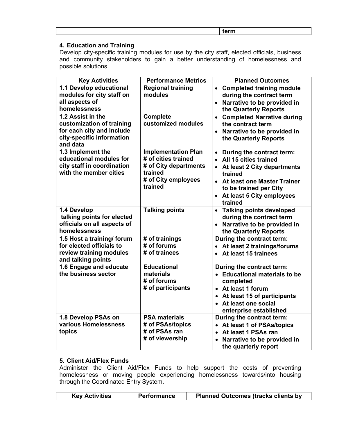|  | . |
|--|---|
|  |   |

## **4. Education and Training**

Develop city-specific training modules for use by the city staff, elected officials, business and community stakeholders to gain a better understanding of homelessness and possible solutions.

| <b>Key Activities</b>                                                                                                                                                                                          | <b>Performance Metrics</b>                                                                                              | <b>Planned Outcomes</b>                                                                                                                                                                                                        |
|----------------------------------------------------------------------------------------------------------------------------------------------------------------------------------------------------------------|-------------------------------------------------------------------------------------------------------------------------|--------------------------------------------------------------------------------------------------------------------------------------------------------------------------------------------------------------------------------|
| 1.1 Develop educational<br>modules for city staff on<br>all aspects of<br>homelessness<br>1.2 Assist in the<br>customization of training<br>for each city and include<br>city-specific information<br>and data | <b>Regional training</b><br>modules<br><b>Complete</b><br>customized modules                                            | • Completed training module<br>during the contract term<br>Narrative to be provided in<br>the Quarterly Reports<br>• Completed Narrative during<br>the contract term<br>• Narrative to be provided in<br>the Quarterly Reports |
| 1.3 Implement the<br>educational modules for<br>city staff in coordination<br>with the member cities                                                                                                           | <b>Implementation Plan</b><br># of cities trained<br># of City departments<br>trained<br># of City employees<br>trained | • During the contract term:<br>• All 15 cities trained<br>• At least 2 City departments<br>trained<br>• At least one Master Trainer<br>to be trained per City<br>At least 5 City employees<br>$\bullet$<br>trained             |
| 1.4 Develop<br>talking points for elected<br>officials on all aspects of<br>homelessness                                                                                                                       | <b>Talking points</b>                                                                                                   | • Talking points developed<br>during the contract term<br>Narrative to be provided in<br>the Quarterly Reports                                                                                                                 |
| 1.5 Host a training/ forum<br>for elected officials to<br>review training modules<br>and talking points                                                                                                        | # of trainings<br># of forums<br># of trainees                                                                          | During the contract term:<br>At least 2 trainings/forums<br>At least 15 trainees<br>$\bullet$                                                                                                                                  |
| 1.6 Engage and educate<br>the business sector                                                                                                                                                                  | <b>Educational</b><br>materials<br># of forums<br># of participants                                                     | During the contract term:<br>• Educational materials to be<br>completed<br>• At least 1 forum<br>• At least 15 of participants<br>• At least one social<br>enterprise established                                              |
| 1.8 Develop PSAs on<br>various Homelessness<br>topics                                                                                                                                                          | <b>PSA materials</b><br># of PSAs/topics<br># of PSAs ran<br># of viewership                                            | During the contract term:<br>• At least 1 of PSAs/topics<br>• At least 1 PSAs ran<br>Narrative to be provided in<br>the quarterly report                                                                                       |

### **5. Client Aid/Flex Funds**

Administer the Client Aid/Flex Funds to help support the costs of preventing homelessness or moving people experiencing homelessness towards/into housing through the Coordinated Entry System.

| <b>Key Activities</b> | <b>Performance</b> | <b>Planned Outcomes (tracks clients by</b> |
|-----------------------|--------------------|--------------------------------------------|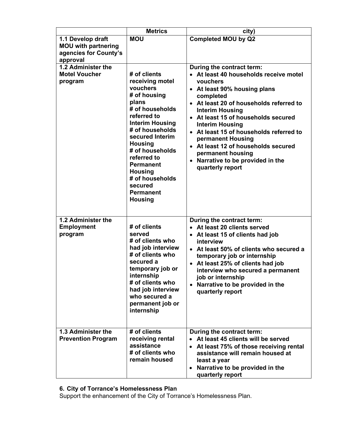|                                                                                      | <b>Metrics</b>                                                                                                                                                                                                                                                                                                                       | city)                                                                                                                                                                                                                                                                                                                                                                                                                                                            |
|--------------------------------------------------------------------------------------|--------------------------------------------------------------------------------------------------------------------------------------------------------------------------------------------------------------------------------------------------------------------------------------------------------------------------------------|------------------------------------------------------------------------------------------------------------------------------------------------------------------------------------------------------------------------------------------------------------------------------------------------------------------------------------------------------------------------------------------------------------------------------------------------------------------|
| 1.1 Develop draft<br><b>MOU with partnering</b><br>agencies for County's<br>approval | <b>MOU</b>                                                                                                                                                                                                                                                                                                                           | <b>Completed MOU by Q2</b>                                                                                                                                                                                                                                                                                                                                                                                                                                       |
| 1.2 Administer the<br><b>Motel Voucher</b><br>program                                | # of clients<br>receiving motel<br>vouchers<br># of housing<br>plans<br># of households<br>referred to<br><b>Interim Housing</b><br># of households<br>secured Interim<br><b>Housing</b><br># of households<br>referred to<br><b>Permanent</b><br><b>Housing</b><br># of households<br>secured<br><b>Permanent</b><br><b>Housing</b> | During the contract term:<br>• At least 40 households receive motel<br>vouchers<br>• At least 90% housing plans<br>completed<br>At least 20 of households referred to<br><b>Interim Housing</b><br>At least 15 of households secured<br>$\bullet$<br><b>Interim Housing</b><br>• At least 15 of households referred to<br>permanent Housing<br>• At least 12 of households secured<br>permanent housing<br>• Narrative to be provided in the<br>quarterly report |
| 1.2 Administer the<br><b>Employment</b><br>program                                   | # of clients<br>served<br># of clients who<br>had job interview<br># of clients who<br>secured a<br>temporary job or<br>internship<br># of clients who<br>had job interview<br>who secured a<br>permanent job or<br>internship                                                                                                       | During the contract term:<br>• At least 20 clients served<br>• At least 15 of clients had job<br>interview<br>• At least 50% of clients who secured a<br>temporary job or internship<br>• At least 25% of clients had job<br>interview who secured a permanent<br>job or internship<br>Narrative to be provided in the<br>quarterly report                                                                                                                       |
| 1.3 Administer the<br><b>Prevention Program</b>                                      | # of clients<br>receiving rental<br>assistance<br># of clients who<br>remain housed                                                                                                                                                                                                                                                  | During the contract term:<br>At least 45 clients will be served<br>At least 75% of those receiving rental<br>assistance will remain housed at<br>least a year<br>Narrative to be provided in the<br>$\bullet$<br>quarterly report                                                                                                                                                                                                                                |

### **6. City of Torrance's Homelessness Plan**

Support the enhancement of the City of Torrance's Homelessness Plan.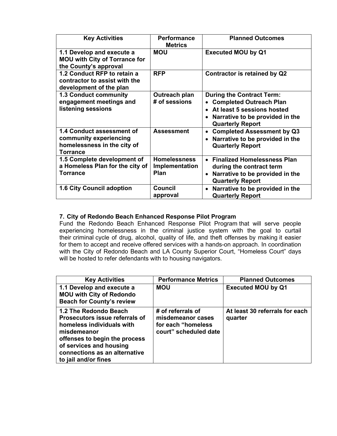| <b>Key Activities</b>                                                                                 | <b>Performance</b><br><b>Metrics</b>          | <b>Planned Outcomes</b>                                                                                                                                        |
|-------------------------------------------------------------------------------------------------------|-----------------------------------------------|----------------------------------------------------------------------------------------------------------------------------------------------------------------|
| 1.1 Develop and execute a<br><b>MOU with City of Torrance for</b><br>the County's approval            | <b>MOU</b>                                    | <b>Executed MOU by Q1</b>                                                                                                                                      |
| 1.2 Conduct RFP to retain a<br>contractor to assist with the<br>development of the plan               | <b>RFP</b>                                    | Contractor is retained by Q2                                                                                                                                   |
| <b>1.3 Conduct community</b><br>engagement meetings and<br>listening sessions                         | Outreach plan<br># of sessions                | <b>During the Contract Term:</b><br><b>Completed Outreach Plan</b><br>At least 5 sessions hosted<br>Narrative to be provided in the<br><b>Quarterly Report</b> |
| 1.4 Conduct assessment of<br>community experiencing<br>homelessness in the city of<br><b>Torrance</b> | <b>Assessment</b>                             | <b>Completed Assessment by Q3</b><br>Narrative to be provided in the<br><b>Quarterly Report</b>                                                                |
| 1.5 Complete development of<br>a Homeless Plan for the city of<br><b>Torrance</b>                     | <b>Homelessness</b><br>Implementation<br>Plan | <b>Finalized Homelessness Plan</b><br>during the contract term<br>Narrative to be provided in the<br>$\bullet$<br><b>Quarterly Report</b>                      |
| 1.6 City Council adoption                                                                             | <b>Council</b><br>approval                    | Narrative to be provided in the<br><b>Quarterly Report</b>                                                                                                     |

### **7. City of Redondo Beach Enhanced Response Pilot Program**

Fund the Redondo Beach Enhanced Response Pilot Program that will serve people experiencing homelessness in the criminal justice system with the goal to curtail their criminal cycle of drug, alcohol, quality of life, and theft offenses by making it easier for them to accept and receive offered services with a hands-on approach. In coordination with the City of Redondo Beach and LA County Superior Court, "Homeless Court" days will be hosted to refer defendants with to housing navigators.

| <b>Key Activities</b>                                                                                                                                                                                                    | <b>Performance Metrics</b>                                                             | <b>Planned Outcomes</b>                   |
|--------------------------------------------------------------------------------------------------------------------------------------------------------------------------------------------------------------------------|----------------------------------------------------------------------------------------|-------------------------------------------|
| 1.1 Develop and execute a<br><b>MOU with City of Redondo</b><br><b>Beach for County's review</b>                                                                                                                         | <b>MOU</b>                                                                             | <b>Executed MOU by Q1</b>                 |
| 1.2 The Redondo Beach<br>Prosecutors issue referrals of<br>homeless individuals with<br>misdemeanor<br>offenses to begin the process<br>of services and housing<br>connections as an alternative<br>to jail and/or fines | # of referrals of<br>misdemeanor cases<br>for each "homeless"<br>court" scheduled date | At least 30 referrals for each<br>quarter |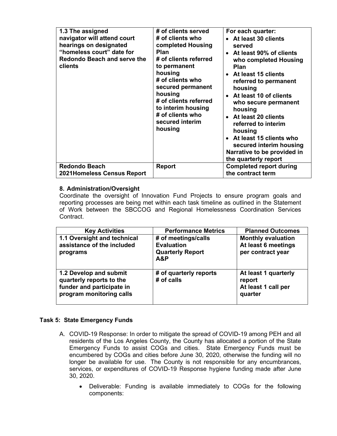| 1.3 The assigned<br>navigator will attend court<br>hearings on designated<br>"homeless court" date for<br>Redondo Beach and serve the<br>clients | # of clients served<br># of clients who<br>completed Housing<br>Plan<br># of clients referred<br>to permanent<br>housing<br># of clients who<br>secured permanent<br>housing<br># of clients referred<br>to interim housing<br># of clients who<br>secured interim<br>housing | For each quarter:<br>• At least 30 clients<br>served<br>• At least 90% of clients<br>who completed Housing<br><b>Plan</b><br>• At least 15 clients<br>referred to permanent<br>housing<br>At least 10 of clients<br>who secure permanent<br>housing<br>• At least 20 clients<br>referred to interim<br>housing<br>• At least 15 clients who<br>secured interim housing<br>Narrative to be provided in<br>the quarterly report |
|--------------------------------------------------------------------------------------------------------------------------------------------------|-------------------------------------------------------------------------------------------------------------------------------------------------------------------------------------------------------------------------------------------------------------------------------|-------------------------------------------------------------------------------------------------------------------------------------------------------------------------------------------------------------------------------------------------------------------------------------------------------------------------------------------------------------------------------------------------------------------------------|
| <b>Redondo Beach</b><br><b>2021Homeless Census Report</b>                                                                                        | <b>Report</b>                                                                                                                                                                                                                                                                 | <b>Completed report during</b><br>the contract term                                                                                                                                                                                                                                                                                                                                                                           |

### **8. Administration/Oversight**

Coordinate the oversight of Innovation Fund Projects to ensure program goals and reporting processes are being met within each task timeline as outlined in the Statement of Work between the SBCCOG and Regional Homelessness Coordination Services Contract.

| <b>Key Activities</b>                                                                                       | <b>Performance Metrics</b>                                                 | <b>Planned Outcomes</b>                                               |
|-------------------------------------------------------------------------------------------------------------|----------------------------------------------------------------------------|-----------------------------------------------------------------------|
| 1.1 Oversight and technical<br>assistance of the included<br>programs                                       | # of meetings/calls<br><b>Evaluation</b><br><b>Quarterly Report</b><br>A&P | <b>Monthly evaluation</b><br>At least 6 meetings<br>per contract year |
| 1.2 Develop and submit<br>quarterly reports to the<br>funder and participate in<br>program monitoring calls | # of quarterly reports<br># of calls                                       | At least 1 quarterly<br>report<br>At least 1 call per<br>quarter      |

### **Task 5: State Emergency Funds**

- A. COVID-19 Response: In order to mitigate the spread of COVID-19 among PEH and all residents of the Los Angeles County, the County has allocated a portion of the State Emergency Funds to assist COGs and cities. State Emergency Funds must be encumbered by COGs and cities before June 30, 2020, otherwise the funding will no longer be available for use. The County is not responsible for any encumbrances, services, or expenditures of COVID-19 Response hygiene funding made after June 30, 2020.
	- Deliverable: Funding is available immediately to COGs for the following components: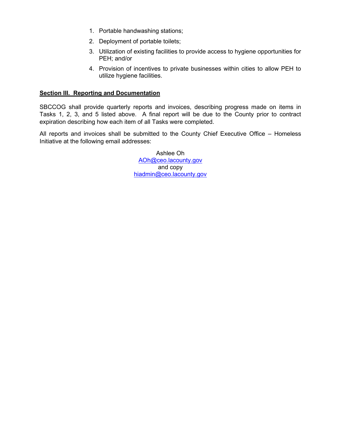- 1. Portable handwashing stations;
- 2. Deployment of portable toilets;
- 3. Utilization of existing facilities to provide access to hygiene opportunities for PEH; and/or
- 4. Provision of incentives to private businesses within cities to allow PEH to utilize hygiene facilities.

### **Section III. Reporting and Documentation**

SBCCOG shall provide quarterly reports and invoices, describing progress made on items in Tasks 1, 2, 3, and 5 listed above. A final report will be due to the County prior to contract expiration describing how each item of all Tasks were completed.

All reports and invoices shall be submitted to the County Chief Executive Office – Homeless Initiative at the following email addresses:

> Ashlee Oh [AOh@ceo.lacounty.gov](mailto:mberkson@ceo.lacounty.gov) and copy [hiadmin@ceo.lacounty.gov](mailto:hiadmin@ceo.lacounty.gov)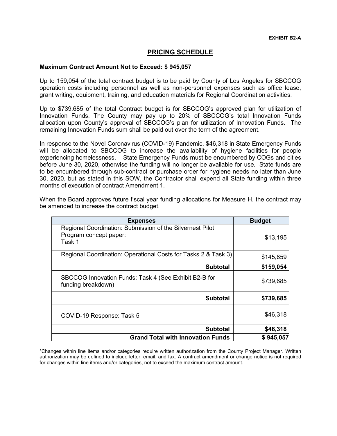## **PRICING SCHEDULE**

#### **Maximum Contract Amount Not to Exceed: \$ 945,057**

Up to 159,054 of the total contract budget is to be paid by County of Los Angeles for SBCCOG operation costs including personnel as well as non-personnel expenses such as office lease, grant writing, equipment, training, and education materials for Regional Coordination activities.

Up to \$739,685 of the total Contract budget is for SBCCOG's approved plan for utilization of Innovation Funds. The County may pay up to 20% of SBCCOG's total Innovation Funds allocation upon County's approval of SBCCOG's plan for utilization of Innovation Funds. The remaining Innovation Funds sum shall be paid out over the term of the agreement.

In response to the Novel Coronavirus (COVID-19) Pandemic, \$46,318 in State Emergency Funds will be allocated to SBCCOG to increase the availability of hygiene facilities for people experiencing homelessness. State Emergency Funds must be encumbered by COGs and cities before June 30, 2020, otherwise the funding will no longer be available for use. State funds are to be encumbered through sub-contract or purchase order for hygiene needs no later than June 30, 2020, but as stated in this SOW, the Contractor shall expend all State funding within three months of execution of contract Amendment 1.

| <b>Expenses</b>                                                                               | <b>Budget</b> |
|-----------------------------------------------------------------------------------------------|---------------|
| Regional Coordination: Submission of the Silvernest Pilot<br>Program concept paper:<br>Task 1 | \$13,195      |
| Regional Coordination: Operational Costs for Tasks 2 & Task 3)                                | \$145,859     |
| <b>Subtotal</b>                                                                               | \$159,054     |
| SBCCOG Innovation Funds: Task 4 (See Exhibit B2-B for<br>funding breakdown)                   | \$739,685     |
| <b>Subtotal</b>                                                                               | \$739,685     |
| COVID-19 Response: Task 5                                                                     | \$46,318      |
| <b>Subtotal</b>                                                                               | \$46,318      |
| <b>Grand Total with Innovation Funds</b>                                                      | \$945,057     |

When the Board approves future fiscal year funding allocations for Measure H, the contract may be amended to increase the contract budget.

\*Changes within line items and/or categories require written authorization from the County Project Manager. Written authorization may be defined to include letter, email, and fax. A contract amendment or change notice is not required for changes within line items and/or categories, not to exceed the maximum contract amount.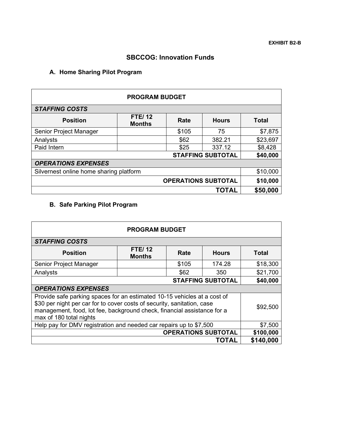## **SBCCOG: Innovation Funds**

## **A. Home Sharing Pilot Program**

| <b>PROGRAM BUDGET</b>                   |                                |       |              |              |
|-----------------------------------------|--------------------------------|-------|--------------|--------------|
| <b>STAFFING COSTS</b>                   |                                |       |              |              |
| <b>Position</b>                         | <b>FTE/12</b><br><b>Months</b> | Rate  | <b>Hours</b> | <b>Total</b> |
| Senior Project Manager                  |                                | \$105 | 75           | \$7,875      |
| Analysts                                |                                | \$62  | 382.21       | \$23,697     |
| Paid Intern                             |                                | \$25  | 337.12       | \$8,428      |
| \$40,000<br><b>STAFFING SUBTOTAL</b>    |                                |       |              |              |
| <b>OPERATIONS EXPENSES</b>              |                                |       |              |              |
| Silvernest online home sharing platform |                                |       |              | \$10,000     |
| <b>OPERATIONS SUBTOTAL</b>              |                                |       | \$10,000     |              |
|                                         |                                |       | TOTAL        | \$50,000     |

# **B. Safe Parking Pilot Program**

| <b>PROGRAM BUDGET</b>                                              |                                                                                                                                                                                                                                |       |                            |           |
|--------------------------------------------------------------------|--------------------------------------------------------------------------------------------------------------------------------------------------------------------------------------------------------------------------------|-------|----------------------------|-----------|
| <b>STAFFING COSTS</b>                                              |                                                                                                                                                                                                                                |       |                            |           |
| <b>Position</b>                                                    | <b>FTE/12</b><br><b>Months</b>                                                                                                                                                                                                 | Rate  | <b>Hours</b>               | Total     |
| Senior Project Manager                                             |                                                                                                                                                                                                                                | \$105 | 174.28                     | \$18,300  |
| Analysts                                                           |                                                                                                                                                                                                                                | \$62  | 350                        | \$21,700  |
| <b>STAFFING SUBTOTAL</b><br>\$40,000                               |                                                                                                                                                                                                                                |       |                            |           |
| <b>OPERATIONS EXPENSES</b>                                         |                                                                                                                                                                                                                                |       |                            |           |
| max of 180 total nights                                            | Provide safe parking spaces for an estimated 10-15 vehicles at a cost of<br>\$30 per night per car for to cover costs of security, sanitation, case<br>management, food, lot fee, background check, financial assistance for a |       |                            | \$92,500  |
| Help pay for DMV registration and needed car repairs up to \$7,500 |                                                                                                                                                                                                                                |       |                            | \$7,500   |
|                                                                    |                                                                                                                                                                                                                                |       | <b>OPERATIONS SUBTOTAL</b> | \$100,000 |
|                                                                    |                                                                                                                                                                                                                                |       | <b>TOTAL</b>               | \$140,000 |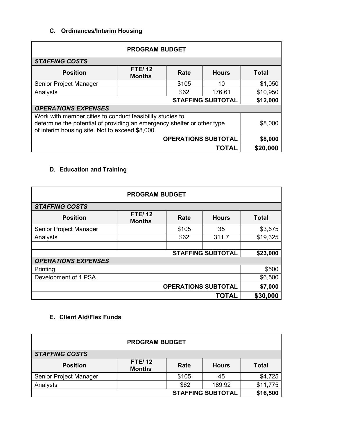## **C. Ordinances/Interim Housing**

| <b>PROGRAM BUDGET</b>                                                                                                                                                                  |                                |       |              |          |
|----------------------------------------------------------------------------------------------------------------------------------------------------------------------------------------|--------------------------------|-------|--------------|----------|
| <b>STAFFING COSTS</b>                                                                                                                                                                  |                                |       |              |          |
| <b>Position</b>                                                                                                                                                                        | <b>FTE/12</b><br><b>Months</b> | Rate  | <b>Hours</b> | Total    |
| Senior Project Manager                                                                                                                                                                 |                                | \$105 | 10           | \$1,050  |
| Analysts                                                                                                                                                                               |                                | \$62  | 176.61       | \$10,950 |
| \$12,000<br><b>STAFFING SUBTOTAL</b>                                                                                                                                                   |                                |       |              |          |
| <b>OPERATIONS EXPENSES</b>                                                                                                                                                             |                                |       |              |          |
| Work with member cities to conduct feasibility studies to<br>determine the potential of providing an emergency shelter or other type<br>of interim housing site. Not to exceed \$8,000 |                                |       |              | \$8,000  |
| <b>OPERATIONS SUBTOTAL</b><br>\$8,000                                                                                                                                                  |                                |       |              |          |
|                                                                                                                                                                                        |                                |       | ΤΟΤΑΙ        | \$20,000 |

# **D. Education and Training**

| <b>PROGRAM BUDGET</b>                |                                |       |              |              |
|--------------------------------------|--------------------------------|-------|--------------|--------------|
| <b>STAFFING COSTS</b>                |                                |       |              |              |
| <b>Position</b>                      | <b>FTE/12</b><br><b>Months</b> | Rate  | <b>Hours</b> | <b>Total</b> |
| Senior Project Manager               |                                | \$105 | 35           | \$3,675      |
| Analysts                             |                                | \$62  | 311.7        | \$19,325     |
|                                      |                                |       |              |              |
| <b>STAFFING SUBTOTAL</b><br>\$23,000 |                                |       |              |              |
| <b>OPERATIONS EXPENSES</b>           |                                |       |              |              |
| Printing                             |                                |       |              | \$500        |
| \$6,500<br>Development of 1 PSA      |                                |       |              |              |
| <b>OPERATIONS SUBTOTAL</b>           |                                |       |              | \$7,000      |
|                                      |                                |       | TOTAL        | \$30,000     |

## **E. Client Aid/Flex Funds**

| <b>PROGRAM BUDGET</b>    |                                |       |              |              |
|--------------------------|--------------------------------|-------|--------------|--------------|
| <b>STAFFING COSTS</b>    |                                |       |              |              |
| <b>Position</b>          | <b>FTE/12</b><br><b>Months</b> | Rate  | <b>Hours</b> | <b>Total</b> |
| Senior Project Manager   |                                | \$105 | 45           | \$4,725      |
| Analysts                 |                                | \$62  | 189.92       | \$11,775     |
| <b>STAFFING SUBTOTAL</b> |                                |       |              | \$16,500     |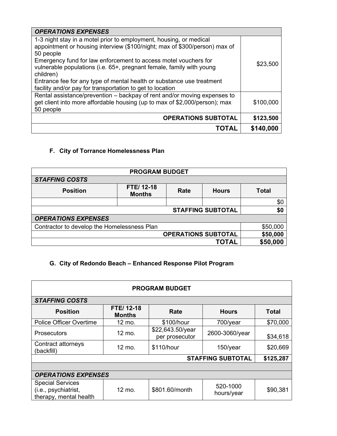| <b>OPERATIONS EXPENSES</b>                                                                                                                                          |           |
|---------------------------------------------------------------------------------------------------------------------------------------------------------------------|-----------|
| 1-3 night stay in a motel prior to employment, housing, or medical<br>appointment or housing interview (\$100/night; max of \$300/person) max of<br>50 people       |           |
| Emergency fund for law enforcement to access motel vouchers for<br>vulnerable populations (i.e. 65+, pregnant female, family with young<br>children)                | \$23,500  |
| Entrance fee for any type of mental health or substance use treatment<br>facility and/or pay for transportation to get to location                                  |           |
| Rental assistance/prevention - backpay of rent and/or moving expenses to<br>get client into more affordable housing (up to max of \$2,000/person); max<br>50 people | \$100,000 |
| <b>OPERATIONS SUBTOTAL</b>                                                                                                                                          | \$123,500 |
| <b>TOTAL</b>                                                                                                                                                        | \$140,000 |

# **F. City of Torrance Homelessness Plan**

| <b>PROGRAM BUDGET</b>                       |                            |      |              |              |
|---------------------------------------------|----------------------------|------|--------------|--------------|
| <b>STAFFING COSTS</b>                       |                            |      |              |              |
| <b>Position</b>                             | FTE/12-18<br><b>Months</b> | Rate | <b>Hours</b> | <b>Total</b> |
|                                             |                            |      |              | \$0          |
| \$0<br><b>STAFFING SUBTOTAL</b>             |                            |      |              |              |
| <b>OPERATIONS EXPENSES</b>                  |                            |      |              |              |
| Contractor to develop the Homelessness Plan |                            |      |              | \$50,000     |
| <b>OPERATIONS SUBTOTAL</b>                  |                            |      | \$50,000     |              |
|                                             |                            |      | <b>TOTAL</b> | \$50,000     |

# **G. City of Redondo Beach – Enhanced Response Pilot Program**

| <b>PROGRAM BUDGET</b>                                                     |                            |                                    |                          |              |
|---------------------------------------------------------------------------|----------------------------|------------------------------------|--------------------------|--------------|
| <b>STAFFING COSTS</b>                                                     |                            |                                    |                          |              |
| <b>Position</b>                                                           | FTE/12-18<br><b>Months</b> | Rate                               | <b>Hours</b>             | <b>Total</b> |
| <b>Police Officer Overtime</b>                                            | 12 mo.                     | \$100/hour                         | 700/year                 | \$70,000     |
| <b>Prosecutors</b>                                                        | 12 mo.                     | \$22,643.50/year<br>per prosecutor | 2600-3060/year           | \$34,618     |
| Contract attorneys<br>(backfill)                                          | 12 mo.                     | \$110/hour                         | 150/year                 | \$20,669     |
|                                                                           |                            |                                    | <b>STAFFING SUBTOTAL</b> | \$125,287    |
|                                                                           |                            |                                    |                          |              |
| <b>OPERATIONS EXPENSES</b>                                                |                            |                                    |                          |              |
| <b>Special Services</b><br>(i.e., psychiatrist,<br>therapy, mental health | 12 mo.                     | \$801.60/month                     | 520-1000<br>hours/year   | \$90,381     |